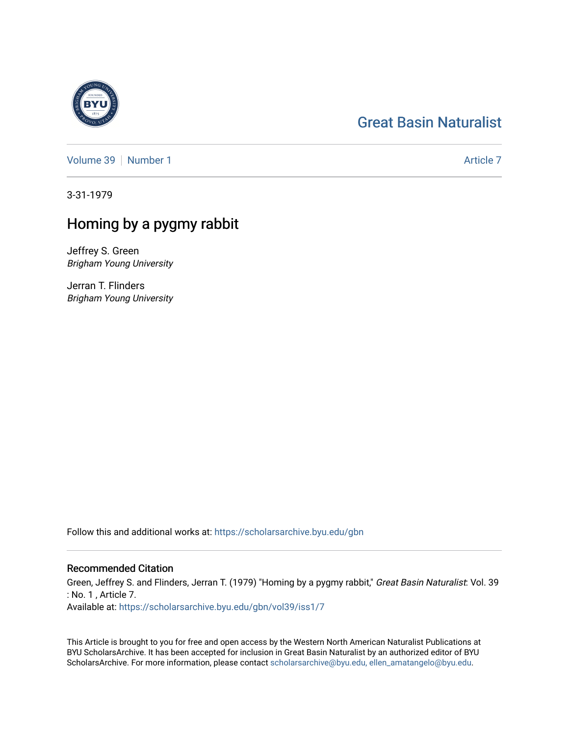# [Great Basin Naturalist](https://scholarsarchive.byu.edu/gbn)

[Volume 39](https://scholarsarchive.byu.edu/gbn/vol39) [Number 1](https://scholarsarchive.byu.edu/gbn/vol39/iss1) [Article 7](https://scholarsarchive.byu.edu/gbn/vol39/iss1/7) Article 7 Article 7 Article 7 Article 7

3-31-1979

## Homing by a pygmy rabbit

Jeffrey S. Green Brigham Young University

Jerran T. Flinders Brigham Young University

Follow this and additional works at: [https://scholarsarchive.byu.edu/gbn](https://scholarsarchive.byu.edu/gbn?utm_source=scholarsarchive.byu.edu%2Fgbn%2Fvol39%2Fiss1%2F7&utm_medium=PDF&utm_campaign=PDFCoverPages) 

## Recommended Citation

Green, Jeffrey S. and Flinders, Jerran T. (1979) "Homing by a pygmy rabbit," Great Basin Naturalist: Vol. 39 : No. 1 , Article 7.

Available at: [https://scholarsarchive.byu.edu/gbn/vol39/iss1/7](https://scholarsarchive.byu.edu/gbn/vol39/iss1/7?utm_source=scholarsarchive.byu.edu%2Fgbn%2Fvol39%2Fiss1%2F7&utm_medium=PDF&utm_campaign=PDFCoverPages)

This Article is brought to you for free and open access by the Western North American Naturalist Publications at BYU ScholarsArchive. It has been accepted for inclusion in Great Basin Naturalist by an authorized editor of BYU ScholarsArchive. For more information, please contact [scholarsarchive@byu.edu, ellen\\_amatangelo@byu.edu.](mailto:scholarsarchive@byu.edu,%20ellen_amatangelo@byu.edu)